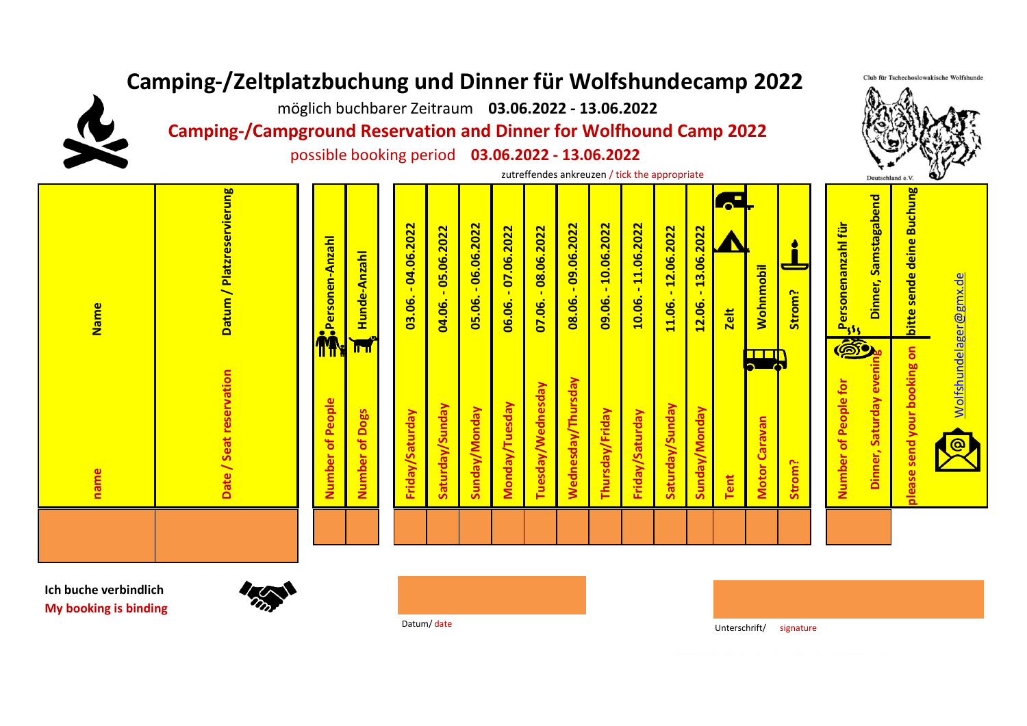## **Camping-/Zeltplatzbuchung und Dinner für Wolfshundecamp 2022**

möglich buchbarer Zeitraum **03.06.2022 - 13.06.2022**

**Camping-/Campground Reservation and Dinner for Wolfhound Camp 2022**

possible booking period **03.06.2022 - 13.06.2022**

zutreffendes ankreuzen / tick the appropriate

Datum / Platzreservierung bitte sende deine Buchung **Datum / Platzreservierung bitte sende deine Buchung** Dinner, Samstagabend **Dinner, Samstagabend 08.06. - 09.06.2022**  ersonenanzahl für  **Personenanzahl für**  $-04.06.2022$  **03.06. - 04.06.2022** 04.06. - 05.06.2022  $-06.06.2022$  **05.06. - 06.06.2022**  $-07.06.2022$  $-09.06.2022$ 09.06. - 10.06.2022  **09.06. - 10.06.2022** 10.06. - 11.06.2022  **10.06. - 11.06.2022** 07.06. - 08.06.2022  $-12.06.2022$ 13.06.2022  **04.06. - 05.06.2022 06.06. - 07.06.2022 07.06. - 08.06.2022 11.06. - 12.06.2022 12.06. - 13.06.2022 Personen-Anzahl Personen-Anzahl** Hunde-Anzahl  **Hunde-Anzahl Wohnmobil Wohnmobil Strom?**  $\mathbf{r}$ 03.06. 05.06. 08.06. 06.06. 12.06. 11.06. **Name Zelt**  $\mathbf{a}_{\mathbf{g}}$ olease send your booking on **Dinner, Saturday evening please send your booking on** TER Date / Seat reservation  **Date / Seat reservation** Dinner, Saturday eve  **Wednesday/Thursday** Wednesday/Thursday  **Number of People for** Number of People for Tuesday/Wednesday **Tuesday/Wednesday** Number of People  **Number of People** Monday/Tuesday  **Monday/Tuesday** Saturday/Sunday  **Saturday/Sunday** Saturday/Sunday  **Saturday/Sunday** Sunday/Monday Number of Dogs  **Sunday/Monday** Thursday/Friday  **Thursday/Friday** Friday/Saturday Sunday/Monday  **Sunday/Monday Number of Dogs Friday/Saturday Friday/Saturday** Friday/Saturday **Motor Caravan Motor Caravan Strom?** name  **name Tent**

**Ich buche verbindlich My booking is binding**



Datum/date **Unterschrift/** signature

Wolfshundelager@gmx.de

<u>Wolfshundelager@gmx.de</u>

Club für Tschechoslowakische Wolfshunde

Deutschland e.V